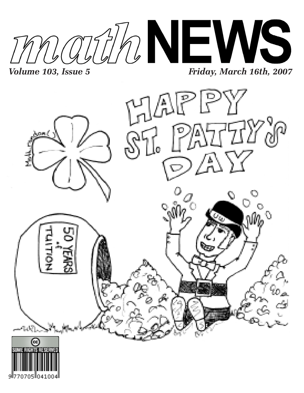



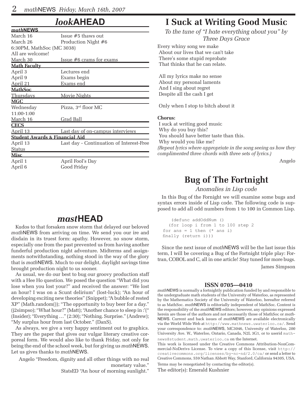*math***NEWS**

# *look***AHEAD**

| <i>MUUN</i> NEWS                          |                                          |
|-------------------------------------------|------------------------------------------|
| March 16                                  | Issue #5 thaws out                       |
| March 26                                  | Production Night #6                      |
| 6:30PM, MathSoc (MC 3038)                 |                                          |
| All are welcome!                          |                                          |
| <u>March 30</u>                           | <u>Issue #6 crams for exams</u>          |
| <b>Math Faculty</b>                       |                                          |
| April 3                                   | Lectures end                             |
| April 9                                   | Exams begin                              |
| April 21                                  | Exams end                                |
| <u> MathSoc</u>                           |                                          |
| Thursdays                                 | Movie Nights                             |
| MGC                                       |                                          |
| Wednesday                                 | Pizza, 3 <sup>rd</sup> floor MC          |
| $11:00-1:00$                              |                                          |
| <u>March 16</u>                           | <u>Grad Ball</u>                         |
| <b>CECS</b>                               |                                          |
| April 13                                  | Last day of on-campus interviews         |
| <b>Student Awards &amp; Financial Aid</b> |                                          |
| April 13                                  | Last day - Continuation of Interest-Free |
| Status                                    |                                          |
| <u>Misc</u>                               |                                          |
| April 1                                   | April Fool's Day                         |
| April 6                                   | Good Friday                              |
|                                           |                                          |

# *mast***HEAD**

Kudos to that forsaken snow storm that delayed our beloved *math*NEWS from arriving on time. We send you our ire and disdain in its truest form: apathy. However, no snow storm, especially one from the past prevented us from having another funderful production night adventure. Midterms and assignments notwithstanding, nothing stood in the way of the glory that is *math*NEWS. Much to our delight, daylight savings time brought production night to us sooner.

As usual, we do our best to bug our groovy production staff with a Hee Ho question. We posed the question "What did you lose when you lost your?" and received the answer: "We lost an hour? I was on a Scunt delirium" (lost-luck); "An hour of developing exciting new theories" (Snippet); "A bubble of rested XP" (Math.random()); "The opportunity to buy beer for a day." (j2simpso); "What hour?" (Matt); "Another chance to sleep in :'(" (Insider); "Everything …" (2:30); "Nothing. Surprise." (Andrew); "My surplus hour from last October." (DanS).

As always, we give a very happy sentiment out to graphics. They are the paper that gives our vulgar literary creative corporeal form. We would also like to thank Friday, not only for being the end of the school week, but for giving us *math*NEWS. Let us gives thanks to *math*NEWS.

Angelo "Freedom, dignity and all other things with no real monetary value."

StatsED "An hour of morning sunlight."

# **I Suck at Writing Good Music**

*To the tune of "I hate everything about you" by Three Days Grace*

Every whiny song we make About our lives that we can't take There's some stupid reprobate That thinks that he can relate.

 All my lyrics make no sense About my personal laments And I sing about regret Despite all the cash I get

Only when I stop to bitch about it

#### **Chorus:**

 I suck at writing good music Why do you buy this? You should have better taste than this. Why would you like me? *(Repeat lyrics where appropriate in the song seeing as how they complimented three chords with three sets of lyrics.)*

Angelo

# **Bug of The Fortnight**

### *Anomalies in Lisp code*

In this Bug of the Fornight we will examine some bugs and syntax errors inside of Lisp code. The following code is supposed to add all odd numbers from 1 to 100 in Common Lisp.

```
 (defunc addOddNum ()
   (for loop i from 1 to 100 step 2
for ans = 1 then (* ans i)
 finally (return i)))
```
Since the next issue of *math*NEWS will be the last issue this term, I will be covering a Bug of the Fortnight triple play: Fortran, COBOL and C, all in one article! Stay tuned for more bugs.

James Simpson

#### **ISSN 0705—0410**

*math*NEWS is normally a fortnightly publication funded by and responsible to the undergraduate math students of the University of Waterloo, as represented by the Mathematics Society of the University of Waterloo, hereafter referred to as MathSoc. *math*NEWS is editorially independent of MathSoc. Content is the responsibility of the *math*NEWS editors; however, any opinions expressed herein are those of the authors and not necessarily those of MathSoc or *math-*NEWS. Current and back issues of *math*NEWS are available electronically via the World Wide Web at http://www.mathnews.uwaterloo.ca/. Send your correspondence to: *math*NEWS, MC3046, University of Waterloo, 200 University Ave. W., Waterloo, Ontario, Canada, N2L 3G1, or to userid math-

news@student.math.uwaterloo.ca on the Internet. This work is licensed under the Creative Commons Attribution-NonCommercial-NoDerivs License. To view a copy of this license, visit http:// creativecommons.org/licenses/by-nc-nd/2.0/ca/ or send a letter to Creative Commons, 559 Nathan Abbott Way, Stanford, California 94305, USA. Terms may be renegotiated by contacting the editor(s).

The editor(s): Emerald Kushnier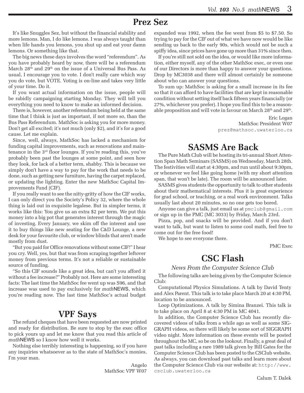# **Prez Sez**

It's like Snuggles Sez, but without the financial stability and more lemons. Man, I do like lemons. I was always taught than when life hands you lemons, you shut up and eat your damn lemons. Or something like that.

The big news these days involves the word "referendum". As you have probably heard by now, there will be a referendum March 28th and 29th on the issue of a Universal Bus Pass. As usual, I encourage you to vote. I don't really care which way you do vote, but VOTE. Voting is on-line and takes very little of your time. Do it.

If you want actual information on the issue, people will be rabidly campaigning starting Monday. They will tell you everything you need to know to make an informed decision.

There is, however, another referendum being held at the same time that I think is just as important, if not more so, than the Bus Pass Referendum. MathSoc is asking you for more money. Don't get all excited; it's not much (only \$2), and it's for a good cause. Let me explain.

Since, well, always, MathSoc has lacked a mechanism for funding capital improvements, such as renovations and maintenance in the 3rd floor lounges. If you're reading this, you've probably been past the lounges at some point, and seen how they look, for lack of a better term, shabby. This is because we simply don't have a way to pay for the work that needs to be done, such as getting new furniture, having the carpet replaced, or updating the lighting. Enter the new MathSoc Capital Improvements Fund (CIF).

If you really want to see the nitty-gritty of how the CIF works, I can only direct you the Society's Policy 32, where the whole thing is laid out in exquisite legalese. But in simpler terms, it works like this: You give us an extra \$2 per term. We put this money into a big pot that generates interest through the magic of investing. Every January, we skim off the interest and use it to buy things like new seating for the C&D Lounge, a new desk for your favourite club, or window blinds that aren't made mostly from dust.

"But you paid for Office renovations without some CIF!" I hear you cry. Well, yes, but that was from scraping together leftover money from previous terms. It's not a reliable or sustainable source of funding.

"So this CIF sounds like a great idea, but can't you afford it without a fee increase?" Probably not. Here are some interesting facts: The last time the MathSoc fee went up was S96, and that increase was used to pay exclusively for *math*NEWS, which you're reading now. The last time MathSoc's actual budget

# **VPF Says**

The refund cheques that have been requested are now printed and ready for distribution. Be sure to stop by the exec office to pick yours up and let me know that you read this article of *math*NEWS so I know how well it works.

Nothing else terribly interesting is happening, so if you have any inquiries whatsoever as to the state of MathSoc's monies, I'm your man.

> Angelo MathSoc VPF W07

expanded was 1992, when the fee went from \$5 to \$7.50. So trying to pay for the CIF out of what we have now would be like sending us back to the early 90s, which would not be such a spiffy idea, since prices have gone up more than 31% since then.

If you're still not sold on the idea, or would like more information, either myself, any of the other MathSoc exec, or even one of our Directors is more than happy to answer your questions. Drop by MC3038 and there will almost certainly be someone about who can answer your questions.

To sum up: MathSoc is asking for a small increase in its fee so that it can afford to have facilities that are kept in reasonable condition without setting itself back fifteen years financially (or 27%, whichever you prefer). I hope you find this to be a reasonable proposition and will vote in favour on March 28<sup>th</sup> and 29<sup>th</sup>.

> Eric Logan MathSoc President W07 prez@mathsoc.uwaterloo.ca

# **SASMS Are Back**

The Pure Math Club will be hosting its tri-annual Short Attention Span Math Seminars (SASMS) on Wednesday, March 28th. The festivities will start at 4:30pm, and run until about 9:30pm, or whenever we feel like going home (with my short attention span, that won't be late). The room will be announced later.

SASMS gives students the opportunity to talk to other students about their mathematical interests. Plus it is great experience for grad school, or teaching, or a real work environment. Talks usually last about 20 minutes, so no one gets too bored.

Anyone can give a talk, just email us at pmclub@gmail.com or sign up in the PMC (MC 3033) by Friday, March 23rd.

Pizza, pop, and snacks will be provided. And if you don't want to talk, but want to listen to some cool math, feel free to come out for the free food!

We hope to see everyone there.

PMC Exec

# **CSC Flash**

*News From the Computer Science Club*

The following talks are being given by the Computer Science Club:

Computational Physics Simulations. A talk by David Tenty and Alex Parent. This talk is to take place March 20 at 4:30 PM, location to be announced.

Loop Optimizations. A talk by Simina Branzei. This talk is to take place on April 8 at 4:30 PM in MC 4041.

In addition, the Computer Science Club has recently discovered videos of talks from a while ago as well as some SIG-GRAPH videos, so there will likely be some sort of SIGGRAPH video night. More information on these events will be posted throughout the MC, so be on the lookout. Finally, a great deal of past talks including a rare 1989 talk given by Bill Gates for the Computer Science Club has been posted to the CSClub website. As always, you can download past talks and learn more about the Computer Science Club via our website at: http://www. csclub.uwaterloo.ca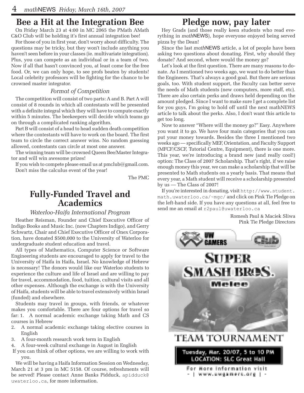# **Bee a Hit at the Integration Bee**

On Friday March 23 at 4:00 in MC 2065 the PMath AMath C&O Club will be holding it's first annual integration bee!

For those of you in first year, don't worry about difficulty. The questions may be tricky, but they won't include anything you haven't seen before in your classes (ie. multivariate integration). Plus, you can compete as an individual or in a team of two. Now if all that hasn't convinced you, at least come for the free food. Or, we can only hope, to see profs beaten by students! Local celebrity professors will be fighting for the chance to be crowned master integrator.

# *Format of Competition*

The competition will consist of two parts: A and B. Part A will consist of 8 rounds in which all contestants will be presented with a definite integral which they will have to compute exactly within 5 minutes. The beekeepers will decide which teams go on through a complicated ranking algorithm.

Part B will consist of a head to head sudden death competition where the contestants will have to work on the board. The first team to circle the correct answer wins. No random guessing allowed, contestants can circle at most one answer.

The winning team will be crowned Queen Bee/Master Integrator and will win awesome prizes!

If you wish to compete please email us at pmclub@gmail.com. Don't miss the calculus event of the year!

The PMC

# **Fully-Funded Travel and Academics**

### *Waterloo-Haifa International Program*

Heather Reisman, Founder and Chief Executive Officer of Indigo Books and Music Inc. (now Chapters Indigo), and Gerry Schwartz, Chair and Chief Executive Officer of Onex Corporation, have donated \$500,000 to the University of Waterloo for undergraduate student education and travel.

All types of Mathematics, Computer Science or Software Engineering students are encouraged to apply for travel to the University of Haifa in Haifa, Israel. No knowledge of Hebrew is necessary! The donors would like our Waterloo students to experience the culture and life of Israel and are willing to pay for travel, accommodation, food, tuition, cultural visits and all other expenses. Although the exchange is with the University of Haifa, students will be able to travel extensively within Israel (funded) and elsewhere.

Students may travel in groups, with friends, or whatever makes you comfortable. There are four options for travel so far: 1. A normal academic exchange taking Math and CS courses in Hebrew

- 2. A normal academic exchange taking elective courses in English
- 3. A four-month research work term in English
- 4. A four-week cultural exchange in August in English
- If you can think of other options, we are willing to work with you.

We will be having a Haifa Information Session on Wednesday, March 21 at 3 pm in MC 5158. Of course, refreshments will be served! Please contact Anne Banks Pidduck, apidduck@ uwaterloo.ca, for more information.

# **Pledge now, pay later**

Hey Grads (and those really keen students who read everything in *math*NEWS), hope everyone enjoyed being served pizza by the Dean!

Since the last *math*NEWS article, a lot of people have been asking two questions about donating. First, why should they donate? And second, where would the money go?

Let's look at the first question. There are many reasons to donate. As I mentioned two weeks ago, we want to do better than the Engineers. That's always a good goal. But there are serious goals, too. With student support, the Faculty can better serve the needs of Math students (new computers, more staff, etc). There are also certain perks and draws held depending on the amount pledged. Since I want to make sure I get a complete list for you guys, I'm going to hold off until the next mathNEWS article to talk about the perks. Also, I don't want this article to get too long.

Now to answer "Where will the money go?" Easy. Anywhere you want it to go. We have four main categories that you can put your money towards. Besides the three I mentioned two weeks ago — specifically MEF, Orientation, and Faculty Support (MFCF/CSCF, Tutorial Centre, Equipment), there is one more. This year, we're introducing a brand new (and really cool!) option: The Class of 2007 Scholarship. That's right, if we raise enough money this year, we can make a scholarship that will be presented to Math students on a yearly basis. That means that every year, a Math student will receive a scholarship presented by us — The Class of 2007!

If you're interested in donating, visit http://www.student. math.uwaterloo.ca/~mgc/ and click on Pink Tie Pledge on the left-hand side. If you have any questions at all, feel free to send me an email at r2paul@uwaterloo.ca

> Romesh Paul & Maciek Sliwa Pink Tie Pledge Directors

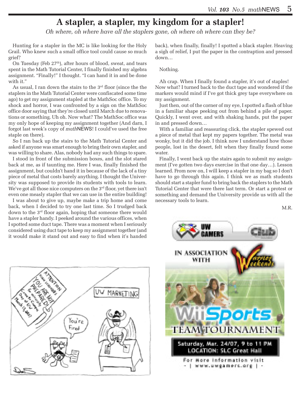# **A stapler, a stapler, my kingdom for a stapler!**

*Oh where, oh where have all the staplers gone, oh where oh where can they be?* 

Hunting for a stapler in the MC is like looking for the Holy Grail. Who knew such a small office tool could cause so much grief?

On Tuesday (Feb  $27<sup>th</sup>$ ), after hours of blood, sweat, and tears spent in the Math Tutorial Center, I finally finished my algebra assignment. "Finally!" I thought. "I can hand it in and be done with it."

As usual, I ran down the stairs to the 3rd floor (since the the staplers in the Math Tutorial Center were confiscated some time ago) to get my assignment stapled at the MathSoc office. To my shock and horror, I was confronted by a sign on the MathSoc office door saying that they're closed until March due to renovations or something. Uh oh. Now what? The MathSoc office was my only hope of keeping my assignment together (And darn, I forgot last week's copy of *math*NEWS! I could've used the free staple on there).

So I ran back up the stairs to the Math Tutorial Center and asked if anyone was smart enough to bring their own stapler, and was willing to share. Alas, nobody had any such things to spare.

I stood in front of the submission boxes, and the slot stared back at me, as if taunting me. Here I was, finally finished the assignment, but couldn't hand it in because of the lack of a tiny piece of metal that costs barely anything. I thought the University was supposed to provide its students with tools to learn. We've got all those nice computers on the 3<sup>rd</sup> floor, yet there isn't even one measly stapler that we can use in the entire building!

I was about to give up, maybe make a trip home and come back, when I decided to try one last time. So I trudged back down to the 3rd floor again, hoping that someone there would have a stapler handy. I peeked around the various offices, when I spotted some duct tape. There was a moment when I seriously considered using duct tape to keep my assignment together (and it would make it stand out and easy to find when it's handed



back), when finally, finally! I spotted a black stapler. Heaving a sigh of relief, I put the paper in the contraption and pressed down…

#### Nothing.

Ah crap. When I finally found a stapler, it's out of staples! Now what? I turned back to the duct tape and wondered if the markers would mind if I've got thick grey tape everywhere on my assignment.

Just then, out of the corner of my eye, I spotted a flash of blue in a familiar shape peeking out from behind a pile of paper. Quickly, I went over, and with shaking hands, put the paper in and pressed down…

With a familiar and reassuring click, the stapler spewed out a piece of metal that kept my papers together. The metal was wonky, but it did the job. I think now I understand how those people, lost in the desert, felt when they finally found some water.

Finally, I went back up the stairs again to submit my assignment (I've gotten two days exercise in that one day…). Lesson learned. From now on, I will keep a stapler in my bag so I don't have to go through this again. I think we as math students should start a stapler fund to bring back the staplers to the Math Tutorial Center that were there last term. Or start a protest or something and demand the University provide us with all the necessary tools to learn.

M.R.

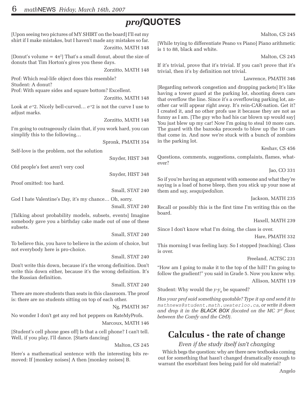# *prof***QUOTES**

[Upon seeing two pictures of MY SHIRT on the board] I'll eat my shirt if I make mistakes, but I haven't made any mistakes so far. Zorzitto, MATH 148 [Donut's volume =  $4\pi^2$ ] That's a small donut, about the size of donuts that Tim Horton's gives you these days. Zorzitto, MATH 148 Prof: Which real-life object does this resemble? Student: A donut? Prof: With square sides and square bottom? Excellent. Zorzitto, MATH 148 Look at *e*-*<sup>x</sup>* 2. Nicely bell-curved… *e*-*<sup>x</sup>* 2 is not the curve I use to adjust marks. Zorzitto, MATH 148 I'm going to outrageously claim that, if you work hard, you can simplify this to the following… Spronk, PMATH 354 Self-love is the problem, not the solution Snyder, HIST 348 Old people's feet aren't very cool Snyder, HIST 348 Proof omitted: too hard. Small, STAT 240 God I hate Valentine's Day, it's my chance… Oh, sorry. Small, STAT 240 [Talking about probability models, subsets, events] Imagine somebody gave you a birthday cake made out of one of these subsets. Small, STAT 240 To believe this, you have to believe in the axiom of choice, but not everybody here is pro-choice. Small, STAT 240 Don't write this down, because it's the wrong definition. Don't write this down either, because it's the wrong definition. It's the Russian definition. Small, STAT 240 There are more students than seats in this classroom. The proof is: there are no students sitting on top of each other. Ng, PMATH 367 No wonder I don't get any red hot peppers on RateMyProfs. Marcoux, MATH 146 [Student's cell phone goes off] Is that a cell phone? I can't tell. Well, if you play, I'll dance. [Starts dancing] Malton, CS 245 ever? board. is over.

Here's a mathematical sentence with the interesting bits removed: If [monkey noises] A then [monkey noises] B.

Malton, CS 245

[While trying to differentiate Peano vs Piano] Piano arithmetic is 1 to 88, black and white.

Malton, CS 245

If it's trivial, prove that it's trivial. If you can't prove that it's trivial, then it's by definition not trivial.

Lawrence, PMATH 346

[Regarding network congestion and dropping packets] It's like having a tower guard at the parking lot, shooting down cars that overflow the line. Since it's a overflowing parking lot, another car will appear right away. It's rein-CAR-nation. Get it? I created it, and no other profs use it because they are not as funny as I am. [The guy who had his car blown up would say] You just blew up my car! Now I'm going to steal 10 more cars. The guard with the bazooka proceeds to blow up the 10 cars that come in. And now we're stuck with a bunch of zombies in the parking lot.

Keshav, CS 456

Questions, comments, suggestions, complaints, flames, what-

Jao, CO 331

So if you're having an argument with someone and what they're saying is a load of horse bleep, then you stick up your nose at them and say, *sesquipedalian.*

Jackson, MATH 235

Recall or possibly this is the first time I'm writing this on the

Haxell, MATH 239

Since I don't know what I'm doing, the class is over.

Hare, PMATH 332

This morning I was feeling lazy. So I stopped [teaching]. Class

Freeland, ACTSC 231

"How am I going to make it to the top of the hill? I'm going to follow the gradient!" you said in Grade 5. Now you know why. Allison, MATH 119

Student: Why would the *y-y*<sub>0</sub> be squared?

*Has your prof said something quotable? Type it up and send it to mathnews@student.math.uwaterloo.ca, or write it down and drop it in the BLACK BOX (located on the MC 3rd floor, between the Comfy and the C&D).*

# **Calculus - the rate of change**

*Even if the study itself isn't changing*

Which begs the question: why are there new textbooks coming out for something that hasn't changed dramatically enough to warrant the exorbitant fees being paid for old material?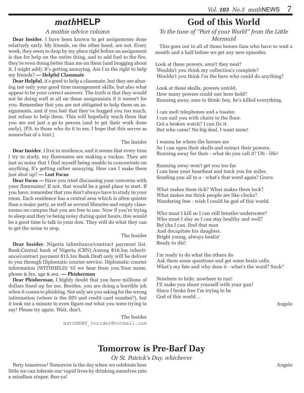# *math***HELP**

## *A mathie advice column*

**Dear Insider**, I have been known to get assignments done relatively early. My friends, on the other hand, are not. Every week, they seem to drop by my place right before an assignment is due for help on the entire thing, and to add fuel to the fire, they're even doing better than me on them (and bragging about it, I might add). It's getting annoying. Am I in the right to help my friends? **— Helpful Classmate**

**Dear Helpful**, it's good to help a classmate, but they are abusing not only your good time management skills, but also what appear to be your correct answers. The truth is that they would not be doing well at all on these assignments if it weren't for you. Remember that you are not obligated to help them on assignments, and if you feel that they've bugged you too much, just refuse to help them. This will hopefully teach them that you are not just a go-to person (and to get their work done early). (P.S. to those who do it to me, I hope that this serves as somewhat of a hint.)

#### The Insider

**Dear Insider**, I live in residence, and it seems that every time I try to study, my floormates are making a ruckus. They are just so noisy that I find myself being unable to concentrate on anything. It's getting rather annoying. How can I make them just shut up? **— Lost Focus**

**Dear Focus —** Have you tried discussing your concerns with your floormates? If not, that would be a good place to start. If you have, remember that you don't always have to study in your room. Each residence has a central area which is often quieter than a major party, as well as several libraries and empty classrooms on campus that you are free to use. Now if you're trying to sleep and they're being noisy during quiet hours, this would be a good time to talk to your don. They will do what they can to get the noise to stop.

#### The Insider

**Dear Insider**, Nigeria inheritance/contract payment list. Bank:Central bank of Nigeria (CBN).Among \$18.5m inheritance/contract payment \$15.5m Bank Draft only will be deliver to you through Diplomatic courier service. Diplomatic courier information (WITHHELD) 'til we hear from you.Your name, phone & fax, age & sex. **— Phisherman**

**Dear Phisherman**, I highly doubt that you have millions of dollars lined up for me. Besides, you are doing a horrible job when it comes to phishing. Not only are you asking for the wrong information (where is the SIN and credit card number?), but it took me a minute to even figure out what you were trying to say! Please try again. Wait, don't.

> The Insider mathNEWS\_Insider@hotmail.com

# **God of this World**

*To the tune of "Part of your World" from the Little Mermaid*

This goes out to all of those heroes fans who have to wait a month and a half before we get any new episodes.

Look at these powers, aren't they neat? Wouldn't you think my collection's complete? Wouldn't you think I'm the hero who could do anything?

 Look at these skulls, powers untold. How many powers could one hero hold? Running away, sure to think: boy, he's killed everything.

 I can melt telephones and a toaster. I can nail you with chairs to the floor. Got a broken watch? I can fix it. But who cares? No big deal. I want more!

 I wanna be where the heroes are So I can open their skulls and extract their powers. Running away for their - what do you call it? Oh - life!

 Running away won't get you too far. I can hear your heartbeat and track you for miles. Sending you all to a - what's that word again? Grave.

 What makes them tick? What makes them tock? What makes me think people are like clocks? Wandering free - wish I could be god of this world.

 Who must I kill so I can still breathe underwater? Who must I slay so I can stay healthy and well? Bet'cha I can, find that man And decapitate his daughter. Bright young, always healin' Ready to die!

 I'm ready to do what the others do Ask them some questions and get some brain cells. What's my fate and why does it - what's the word? Suck?

 Nowhere to hide, nowhere to run! I'll make you shoot yourself with your gun! Since I broke free I'm trying to be God of this world…

Angelo

# **Tomorrow is Pre-Barf Day**

*Or St. Patrick's Day, whichever*

Party tomorrow! Tomorrow is the day when we celebrate how little we can tolerate our vapid lives by drinking ourselves into a mindless stupor. Boo-ya!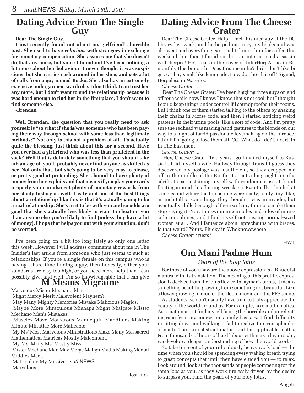# **Dating Advice From The Single Guy**

**Dear The Single Guy,** 

**I just recently found out about my girlfriend's horrible past. She used to have** *relations* **with strangers in exchange for monetary compensation. She assures me that she doesn't do that any more, but since I found out I've been noticing a lot more about her behaviour. I never thought it was suspicious, but she carries cash around in her shoe, and gets a lot of calls from a guy named Rocko. She also has an extremely extensive undergarment wardrobe. I don't think I can trust her any more, but I don't want to end the relationship because it was hard enough to find her in the first place, I don't want to find someone else.** 

**-Brendan** 

**Well Brendan, the question that you really need to ask yourself is "so what if she is/was someone who has been paying their way through school with some less than legitimate methods?" Not only is this not a problem at all, it's actually quite the blessing. Just think about this for a second. Have you ever had a girlfriend who was less than proficient in the sack? Well that is definitely something that you should take advantage of, you'll probably never find anyone as skilled as her. Not only that, but she's going to be very easy to please, or pretty good at pretending. She's bound to have plenty of money from her exploits and that means if you play your cards properly you can also get plenty of monetary rewards from her shady history as well. Lastly and one of the best things about a relationship like this is that it's actually going to be a real relationship. She's in it to be with you and so odds are good that she's actually less likely to want to cheat on you than anyone else you're likely to find (unless they have a lot of money). I hope that helps you out with your situation, don't be worried.**

I've been going on a bit too long lately so only one letter this week. However I will address comments about me in The Insider's last article from someone who just seems to suck at relationships. If you're a single female on this campus who is having a hard time finding a guy, then honestly, either your standards are way too high, or you need more help than I can possibly give, and well, I'm so knowledgeable that I can give

# **M Means Migraine**

Marvelous Mister Mechano Man

Might Mercy Merit Malevolent Mayhem?

May Many Mighty Memories Mistake Malicious Magics.

 Maybe More Miraculous Mishaps Might Mitigate Mister Mechano Man's Mistakes!

 Muscles Move Monstrous Mannequin Mandibles Making Minute Minutiae More Malleable.

 My Ms' Most Marvelous Ministrations Make Many Massacred Mathematical Matrices Mostly Malcontent.

My My, Many Ms' Mostly Miss.

 Mister Mechano Man May Merge Malign Myths Making Mental Middles Meet.

 Matriculate My Missive, *math*NEWS. Marvelous!

lost-luck

# **Dating Advice From The Cheese Grater**

Dear The Cheese Grater, Help! I met this nice guy at the DC library last week, and he helped me carry my books and was all sweet and everything, so I said I'd meet him for coffee this weekend, but then I found out he's an international assassin with herpes! He's like on the cover of InterHerpAssassin Bimonthly this bimonth! Does this mean he's bi? I don't like bi guys. They smell like lemonade. How do I break it off? Signed, Herpeless in Waterloo

*Cheese Grater:* ...

 Dear The Cheese Grater: I've been juggling three guys on and off for a while now. I know, I know, that's not cool, but I thought I could keep things under control if I soundproofed their rooms. But I think one of them started talking to the others by shaking their chains in Morse code, and then I started noticing weird patterns in their urine pools, like a sort of code. And I'm pretty sure the redhead was making hand gestures to the blonde on our way to a night of torrid passionate lovemaking on the furnace. I think I'm going to lose them all, CG. What do I do? Uncertain in The Basement

*Cheese Grater:* ...

 Hey, Cheese Grater. Two years ago I mailed myself to Russia to find myself a wife. Halfway through transit I guess they discovered my postage was insufficient, so they dropped me off in the middle of the Pacific. I spent a long eight months adrift at sea, sustaining myself with random corpses I found floating around this flaming wreckage. Eventually I landed at some island where the the people were really, really tiny; like, an inch tall or something. They thought I was an invader, but eventually I killed enough of them with my thumb to make them stop saying it. Now I'm swimming in piles and piles of miniscule concubines, and I find myself not missing normal-sized women at all. And I fantasize about leprechauns with braces. Is that weird? Yours, Plucky in Whoknowswhere

*Cheese Grater:* \*rusts\*

HWT

# **Om Mani Padme Hum**

#### *Pearl of the holy lotus*

For those of you unaware the above expression is a Bhuddist mantra with its translation. The meaning of this prolific expression is derived from the lotus flower. In layman's terms, it means something beautiful growing from something not beautiful. Like a flower growing in mud or the Doom movie and the FPS scene.

As students we don't usually have time to truly appreciate the beauty of the world around us. For example, take mathematics. As a math major I find myself facing the horrible and unrelenting rape from my courses on a daily basis. As I find difficulty in sitting down and walking, I fail to realize the true splendor of math. The pure abstract maths, and the applicable maths. From thousands of hours of hard labour with nary a lay in sight, we develop a deeper understanding of how the world works.

So take time out of your ridiculously heavy work load — the time when you should be spending every waking breath trying to grasp concepts that until then have eluded you — to relax. Look around, look at the thousands of people competing for the same jobs as you, as they work tirelessly driven by the desire to surpass you. Find the pearl of your holy lotus.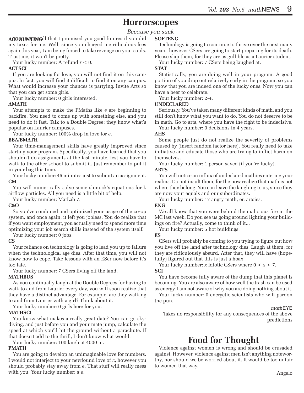# **Horrorscopes**

# *Because you suck*

**ACCOUNTING!!** that I promised you good futures if you did **SOFTENG** my taxes for me. Well, since you charged me ridiculous fees again this year, I am being forced to take revenge on your souls. Trust me, it won't be pretty.

Your lucky number: A refund *r* < 0.

### **ACTSCI**

If you are looking for love, you will not find it on this campus. In fact, you will find it difficult to find it on any campus. What would increase your chances is partying. Invite Arts so that you can get some girls.

Your lucky number: 0 girls interested.

### **AMATH**

Your attempts to make the PMaths like *e* are beginning to backfire. You need to come up with something else, and you need to do it fast. Talk to a Double Degree; they know what's popular on Laurier campuses.

Your lucky number: 100% drop in love for *e*.

### **BBA/BMATH**

Your time-management skills have greatly improved since starting your program. Specifically, you have learned that you shouldn't do assignments at the last minute, lest you have to walk to the other school to submit it. Just remember to put it in your bag this time.

Your lucky number: 45 minutes just to submit an assignment. **CM**

You will numerically solve some shmuck's equations for k airflow particles. All you need is a little bit of help.

Your lucky number: MatLab 7.

#### **C&O**

So you've combined and optimized your usage of the co-op system, and once again, it left you jobless. You do realize that if you want employment, you actually need to spend more time optimizing your job search skills instead of the system itself.

Your lucky number: 0 jobs.

#### **CS**

Your reliance on technology is going to lead you up to failure when the technological age dies. After that time, you will not know how to cope. Take lessons with an ESer now before it's too late.

Your lucky number: 7 CSers living off the land.

### **MATHBUS**

As you continually laugh at the Double Degrees for having to walk to and from Laurier every day, you will soon realize that they have a distinct advantage. For example, are they walking to and from Laurier with a girl? Think about it.

Your lucky number: 0 girls here for you.

### **MATHSCI**

You know what makes a really great date? You can go skydiving, and just before you and your mate jump, calculate the speed at which you'll hit the ground without a parachute. If that doesn't add to the thrill, I don't know what would.

Your lucky number: 100 km/h at 4000 m.

### **PMATH**

You are going to develop an unimaginable love for numbers. I would not interject to your newfound love of  $\pi$ , however you should probably stay away from *e*. That stuff will really mess with you. Your lucky number: π *e*.

Technology is going to continue to thrive over the next many years, however CSers are going to start preparing for its death. Please slap them, for they are as gullible as a Laurier student.

Your lucky number: 7 CSers being laughed at.

### **STAT**

Statistically, you are doing well in your program. A good portion of you drop out relatively early in the program, so you know that you are indeed one of the lucky ones. Now you can have a beer to celebrate.

Your lucky number: 2-4.

### **UNDECLARED**

Seriously. You've taken many different kinds of math, and you still don't know what you want to do. You do not deserve to be in math. Go to arts, where you have the right to be indecisive.

Your lucky number: 0 decisions in 4 years.

### **AHS**

Some people just do not realize the severity of problems caused by (insert random factor here). You really need to take initiative and educate those who are trying to inflict harm on themselves.

Your lucky number: 1 person saved (if you're lucky).

#### **ARTS**

You will notice an influx of undeclared mathies entering your realms. Do not insult them, for the now realize that math is not where they belong. You can leave the laughing to us, since they are now your equals and our subordinates.

Your lucky number: 17 angry math, er, artsies.

#### **ENG**

We all know that you were behind the malicious fire in the MC last week. Do you see us going around lighting your buildings on fire? Actually, come to think of it...

Your lucky number: 5 hot buildings.

## **ES**

CSers will probably be coming to you trying to figure out how you live off the land after technology dies. Laugh at them, for they are ridiculously absurd. After that, they will have (hopefully) figured out that this is just a hoax.

Your lucky number: *x* idiotic CSers where  $0 < x < 7$ . **SCI**

You have become fully aware of the dump that this planet is becoming. You are also aware of how well the trash can be used as energy. I am not aware of why you are doing nothing about it.

Your lucky number: 0 energetic scientists who will pardon the pun.

#### *math*EYE

Takes no responsibility for any consequences of the above predictions

# **Food for Thought**

Violence against women is wrong and should be crusaded against. However, violence against men isn't anything noteworthy, nor should we be worried about it. It would be too unfair to women that way.